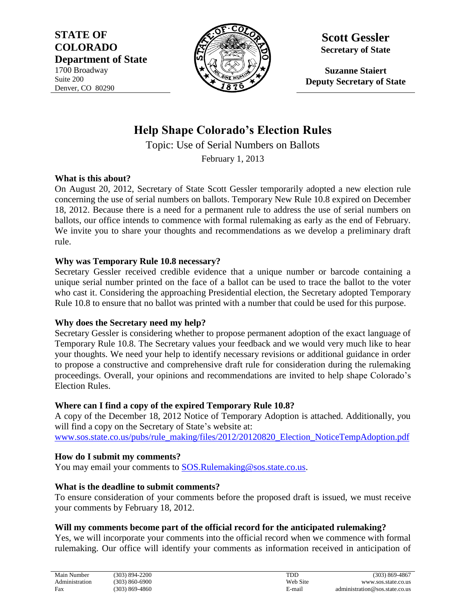**STATE OF COLORADO Department of State** 1700 Broadway Suite 200 Denver, CO 80290



**Scott Gessler Secretary of State**

**Suzanne Staiert Deputy Secretary of State**

# **Help Shape Colorado's Election Rules**

Topic: Use of Serial Numbers on Ballots

February 1, 2013

### **What is this about?**

On August 20, 2012, Secretary of State Scott Gessler temporarily adopted a new election rule concerning the use of serial numbers on ballots. Temporary New Rule 10.8 expired on December 18, 2012. Because there is a need for a permanent rule to address the use of serial numbers on ballots, our office intends to commence with formal rulemaking as early as the end of February. We invite you to share your thoughts and recommendations as we develop a preliminary draft rule.

### **Why was Temporary Rule 10.8 necessary?**

Secretary Gessler received credible evidence that a unique number or barcode containing a unique serial number printed on the face of a ballot can be used to trace the ballot to the voter who cast it. Considering the approaching Presidential election, the Secretary adopted Temporary Rule 10.8 to ensure that no ballot was printed with a number that could be used for this purpose.

# **Why does the Secretary need my help?**

Secretary Gessler is considering whether to propose permanent adoption of the exact language of Temporary Rule 10.8. The Secretary values your feedback and we would very much like to hear your thoughts. We need your help to identify necessary revisions or additional guidance in order to propose a constructive and comprehensive draft rule for consideration during the rulemaking proceedings. Overall, your opinions and recommendations are invited to help shape Colorado's Election Rules.

# **Where can I find a copy of the expired Temporary Rule 10.8?**

A copy of the December 18, 2012 Notice of Temporary Adoption is attached. Additionally, you will find a copy on the Secretary of State's website at: [www.sos.state.co.us/pubs/rule\\_making/files/2012/20120820\\_Election\\_NoticeTempAdoption.pdf](http://www.sos.state.co.us/pubs/rule_making/files/2012/20120820_Election_NoticeTempAdoption.pdf)

# **How do I submit my comments?**

You may email your comments to [SOS.Rulemaking@sos.state.co.us.](mailto:SOS.Rulemaking@sos.state.co.us?subject=Comments:%20Use%20of%20Serial%20Numbers%20on%20Ballots)

# **What is the deadline to submit comments?**

To ensure consideration of your comments before the proposed draft is issued, we must receive your comments by February 18, 2012.

# **Will my comments become part of the official record for the anticipated rulemaking?**

Yes, we will incorporate your comments into the official record when we commence with formal rulemaking. Our office will identify your comments as information received in anticipation of